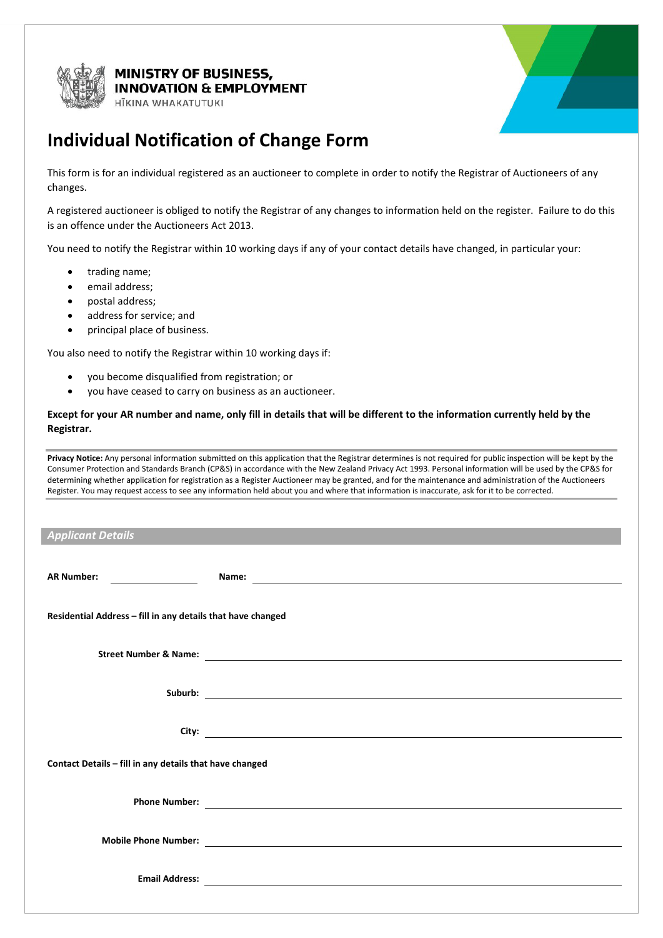

## **MINISTRY OF BUSINESS, INOVATION & EMPLOYMENT**

HĪKINA WHAKATUTUKI



## **Individual Notification of Change Form**

This form is for an individual registered as an auctioneer to complete in order to notify the Registrar of Auctioneers of any changes.

A registered auctioneer is obliged to notify the Registrar of any changes to information held on the register. Failure to do this is an offence under the Auctioneers Act 2013.

You need to notify the Registrar within 10 working days if any of your contact details have changed, in particular your:

- trading name;
- email address;
- postal address;
- address for service; and
- principal place of business.

You also need to notify the Registrar within 10 working days if:

- you become disqualified from registration; or
- you have ceased to carry on business as an auctioneer.

## **Except for your AR number and name, only fill in details that will be different to the information currently held by the Registrar.**

**Privacy Notice:** Any personal information submitted on this application that the Registrar determines is not required for public inspection will be kept by the Consumer Protection and Standards Branch (CP&S) in accordance with the New Zealand Privacy Act 1993. Personal information will be used by the CP&S for determining whether application for registration as a Register Auctioneer may be granted, and for the maintenance and administration of the Auctioneers Register. You may request access to see any information held about you and where that information is inaccurate, ask for it to be corrected.

| <b>Applicant Details</b>                                    |                                                                                                                                                                                                                                      |  |
|-------------------------------------------------------------|--------------------------------------------------------------------------------------------------------------------------------------------------------------------------------------------------------------------------------------|--|
|                                                             |                                                                                                                                                                                                                                      |  |
| <b>AR Number:</b>                                           |                                                                                                                                                                                                                                      |  |
|                                                             |                                                                                                                                                                                                                                      |  |
| Residential Address - fill in any details that have changed |                                                                                                                                                                                                                                      |  |
|                                                             |                                                                                                                                                                                                                                      |  |
|                                                             | Street Number & Name: <u>contract the contract of the street of the street of the street of the street of the street of the street of the street of the street of the street of the street of the street of the street of the st</u> |  |
|                                                             |                                                                                                                                                                                                                                      |  |
|                                                             |                                                                                                                                                                                                                                      |  |
|                                                             |                                                                                                                                                                                                                                      |  |
|                                                             |                                                                                                                                                                                                                                      |  |
| Contact Details - fill in any details that have changed     |                                                                                                                                                                                                                                      |  |
|                                                             |                                                                                                                                                                                                                                      |  |
|                                                             |                                                                                                                                                                                                                                      |  |
|                                                             |                                                                                                                                                                                                                                      |  |
|                                                             |                                                                                                                                                                                                                                      |  |
|                                                             |                                                                                                                                                                                                                                      |  |
| <b>Email Address:</b>                                       | <u> 1989 - John Stein, Amerikaansk politiker (* 1958)</u>                                                                                                                                                                            |  |
|                                                             |                                                                                                                                                                                                                                      |  |